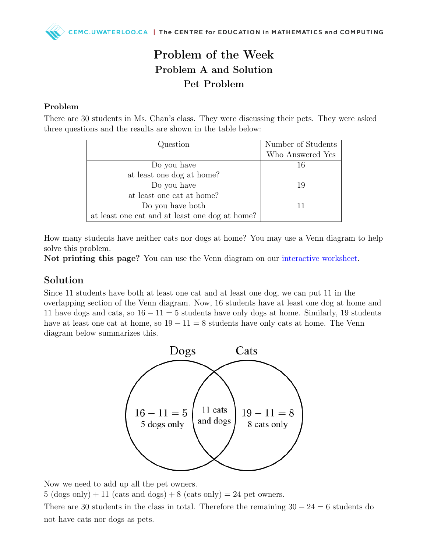## Problem of the Week Problem A and Solution Pet Problem

#### Problem

There are 30 students in Ms. Chan's class. They were discussing their pets. They were asked three questions and the results are shown in the table below:

| Question                                       | Number of Students<br>Who Answered Yes |
|------------------------------------------------|----------------------------------------|
| Do you have                                    | 16                                     |
| at least one dog at home?                      |                                        |
| Do you have                                    | -19                                    |
| at least one cat at home?                      |                                        |
| Do you have both                               |                                        |
| at least one cat and at least one dog at home? |                                        |

How many students have neither cats nor dogs at home? You may use a Venn diagram to help solve this problem.

Not printing this page? You can use the Venn diagram on our [interactive worksheet.](https://www.geogebra.org/m/gftqqgb6)

#### Solution

Since 11 students have both at least one cat and at least one dog, we can put 11 in the overlapping section of the Venn diagram. Now, 16 students have at least one dog at home and 11 have dogs and cats, so  $16 - 11 = 5$  students have only dogs at home. Similarly, 19 students have at least one cat at home, so  $19 - 11 = 8$  students have only cats at home. The Venn diagram below summarizes this.



Now we need to add up all the pet owners.

 $5 \text{ (dogs only)} + 11 \text{ (cats and dogs)} + 8 \text{ (cats only)} = 24 \text{ pet owners}.$ 

There are 30 students in the class in total. Therefore the remaining  $30 - 24 = 6$  students do not have cats nor dogs as pets.